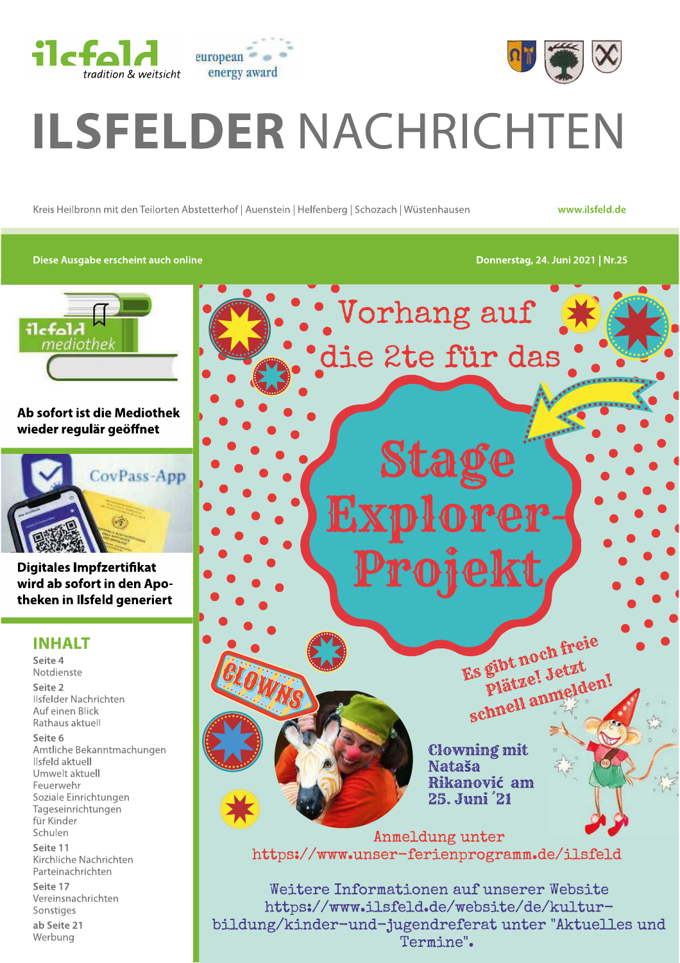



# **ILSFELDER NACHRICHTEN**

Kreis Heilbronn mit den Teilorten Abstetterhof | Auenstein | Helfenberg | Schozach | Wüstenhausen

www.ilsfeld.de

#### Diese Ausgabe erscheint auch online





## Ab sofort ist die Mediothek wieder regulär geöffnet



**Digitales Impfzertifikat** wird ab sofort in den Apotheken in Ilsfeld generiert

## **INHALT**

Seite 4 Notdienste Seite 2 Ilsfelder Nachrichten Auf einen Blick Rathaus aktuell Seite 6 Amtliche Bekanntmachungen Ilsfeld aktuell Umwelt aktuell Feuerwehr Soziale Einrichtungen Tageseinrichtungen für Kinder Schulen

Seite 11 Kirchliche Nachrichten Parteinachrichten

Seite 17 Vereinsnachrichten Sonstiges

ab Seite 21 Werbung



Weitere Informationen auf unserer Website https://www.ilsfeld.de/website/de/kulturbildung/kinder-und-jugendreferat unter "Aktuelles und Termine".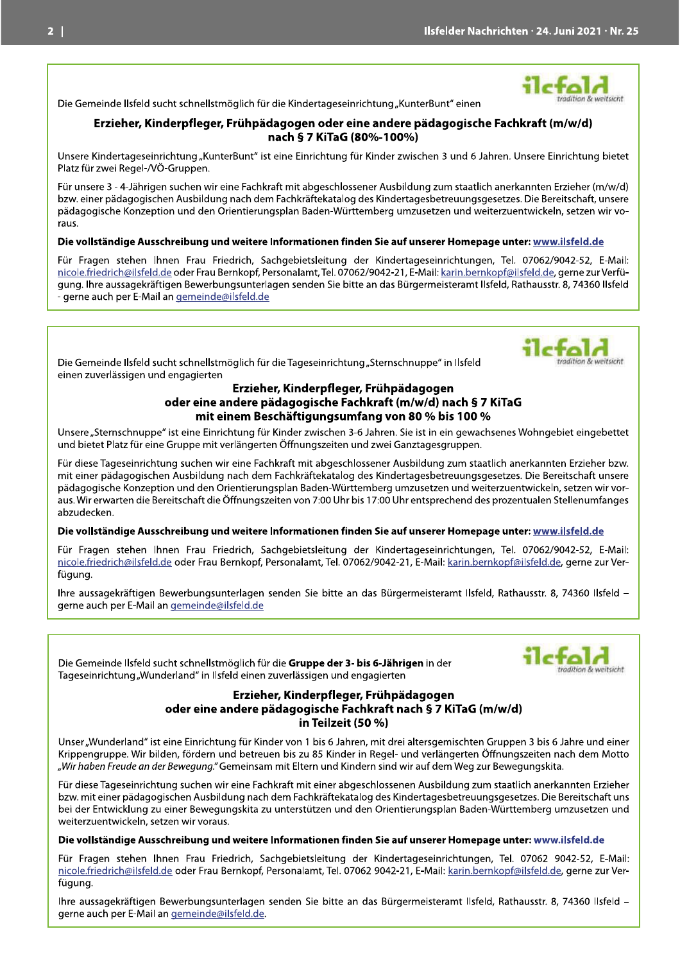radition & waitsicht

Die Gemeinde Ilsfeld sucht schnellstmöglich für die Kindertageseinrichtung "KunterBunt" einen

#### Erzieher, Kinderpfleger, Frühpädagogen oder eine andere pädagogische Fachkraft (m/w/d) nach § 7 KiTaG (80%-100%)

Unsere Kindertageseinrichtung "KunterBunt" ist eine Einrichtung für Kinder zwischen 3 und 6 Jahren. Unsere Einrichtung bietet Platz für zwei Regel-/VÖ-Gruppen.

Für unsere 3 - 4-Jährigen suchen wir eine Fachkraft mit abgeschlossener Ausbildung zum staatlich anerkannten Erzieher (m/w/d) bzw. einer pädagogischen Ausbildung nach dem Fachkräftekatalog des Kindertagesbetreuungsgesetzes. Die Bereitschaft, unsere pädagogische Konzeption und den Orientierungsplan Baden-Württemberg umzusetzen und weiterzuentwickeln, setzen wir voraus.

#### Die vollständige Ausschreibung und weitere Informationen finden Sie auf unserer Homepage unter: www.ilsfeld.de

Für Fragen stehen Ihnen Frau Friedrich, Sachgebietsleitung der Kindertageseinrichtungen, Tel. 07062/9042-52, E-Mail: nicole.friedrich@ilsfeld.de oder Frau Bernkopf, Personalamt, Tel. 07062/9042-21, E-Mail: karin.bernkopf@ilsfeld.de, gerne zur Verfügung. Ihre aussagekräftigen Bewerbungsunterlagen senden Sie bitte an das Bürgermeisteramt Ilsfeld, Rathausstr. 8, 74360 Ilsfeld - gerne auch per E-Mail an gemeinde@ilsfeld.de

Die Gemeinde Ilsfeld sucht schnellstmöglich für die Tageseinrichtung "Sternschnuppe" in Ilsfeld einen zuverlässigen und engagierten

#### Erzieher, Kinderpfleger, Frühpädagogen oder eine andere pädagogische Fachkraft (m/w/d) nach § 7 KiTaG mit einem Beschäftigungsumfang von 80 % bis 100 %

Unsere "Sternschnuppe" ist eine Einrichtung für Kinder zwischen 3-6 Jahren. Sie ist in ein gewachsenes Wohngebiet eingebettet und bietet Platz für eine Gruppe mit verlängerten Öffnungszeiten und zwei Ganztagesgruppen.

Für diese Tageseinrichtung suchen wir eine Fachkraft mit abgeschlossener Ausbildung zum staatlich anerkannten Erzieher bzw. mit einer pädagogischen Ausbildung nach dem Fachkräftekatalog des Kindertagesbetreuungsgesetzes. Die Bereitschaft unsere pädagogische Konzeption und den Orientierungsplan Baden-Württemberg umzusetzen und weiterzuentwickeln, setzen wir voraus. Wir erwarten die Bereitschaft die Öffnungszeiten von 7:00 Uhr bis 17:00 Uhr entsprechend des prozentualen Stellenumfanges abzudecken.

#### Die vollständige Ausschreibung und weitere Informationen finden Sie auf unserer Homepage unter: www.ilsfeld.de

Für Fragen stehen Ihnen Frau Friedrich, Sachgebietsleitung der Kindertageseinrichtungen, Tel. 07062/9042-52, E-Mail: nicole.friedrich@ilsfeld.de oder Frau Bernkopf, Personalamt, Tel. 07062/9042-21, E-Mail: karin.bernkopf@ilsfeld.de, gerne zur Verfügung.

Ihre aussagekräftigen Bewerbungsunterlagen senden Sie bitte an das Bürgermeisteramt Ilsfeld, Rathausstr. 8, 74360 Ilsfeld gerne auch per E-Mail an gemeinde@ilsfeld.de

Die Gemeinde Ilsfeld sucht schnellstmöglich für die Gruppe der 3- bis 6-Jährigen in der Tageseinrichtung "Wunderland" in Ilsfeld einen zuverlässigen und engagierten

#### Erzieher, Kinderpfleger, Frühpädagogen oder eine andere pädagogische Fachkraft nach § 7 KiTaG (m/w/d) in Teilzeit (50 %)

Unser "Wunderland" ist eine Einrichtung für Kinder von 1 bis 6 Jahren, mit drei altersgemischten Gruppen 3 bis 6 Jahre und einer Krippengruppe. Wir bilden, fördern und betreuen bis zu 85 Kinder in Regel- und verlängerten Öffnungszeiten nach dem Motto "Wir haben Freude an der Bewegung." Gemeinsam mit Eltern und Kindern sind wir auf dem Weg zur Bewegungskita.

Für diese Tageseinrichtung suchen wir eine Fachkraft mit einer abgeschlossenen Ausbildung zum staatlich anerkannten Erzieher bzw. mit einer pädagogischen Ausbildung nach dem Fachkräftekatalog des Kindertagesbetreuungsgesetzes. Die Bereitschaft uns bei der Entwicklung zu einer Bewegungskita zu unterstützen und den Orientierungsplan Baden-Württemberg umzusetzen und weiterzuentwickeln, setzen wir voraus.

#### Die vollständige Ausschreibung und weitere Informationen finden Sie auf unserer Homepage unter: www.ilsfeld.de

Für Fragen stehen Ihnen Frau Friedrich, Sachgebietsleitung der Kindertageseinrichtungen, Tel. 07062 9042-52, E-Mail: nicole.friedrich@ilsfeld.de oder Frau Bernkopf, Personalamt, Tel. 07062 9042-21, E-Mail: karin.bernkopf@ilsfeld.de, gerne zur Verfügung.

Ihre aussagekräftigen Bewerbungsunterlagen senden Sie bitte an das Bürgermeisteramt Ilsfeld, Rathausstr. 8, 74360 Ilsfeld gerne auch per E-Mail an gemeinde@ilsfeld.de.



tradition & weitsicht.

tradition & weltscht

ilctolo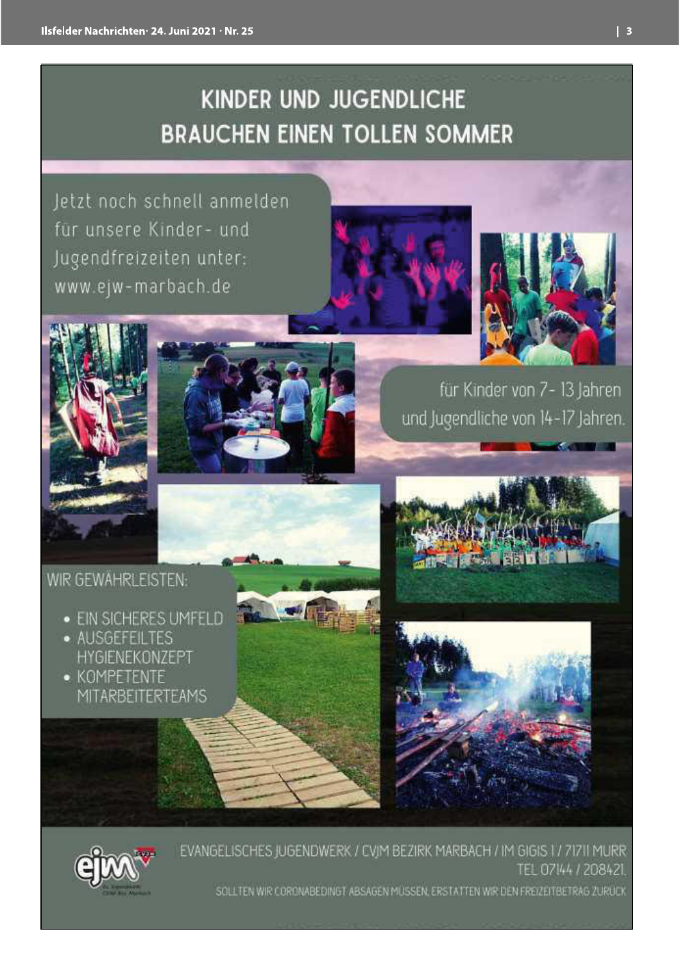## **KINDER UND JUGENDLICHE BRAUCHEN EINEN TOLLEN SOMMER**

Jetzt noch schnell anmelden für unsere Kinder- und Jugendfreizeiten unter: www.ejw-marbach.de









für Kinder von 7- 13 Jahren und Jugendliche von 14-17 Jahren.

## WIR GEWÄHRLEISTEN:

- · EIN SICHERES UMFELD
- AUSGEFEILTES HYGIENEKONZEPT
- KOMPETENTE **MITARBEITERTEAMS**









EVANGELISCHES JUGENDWERK / CVIM BEZIRK MARBACH / IM GIGIS 1 / 71711 MURR TEL 07144 / 208421. SOLLTEN WIR CORDNABEDINGT ABSAGEN MÜSSEN, ERSTATTEN WIR DEN FREIZEITBETRAG ZURÜCK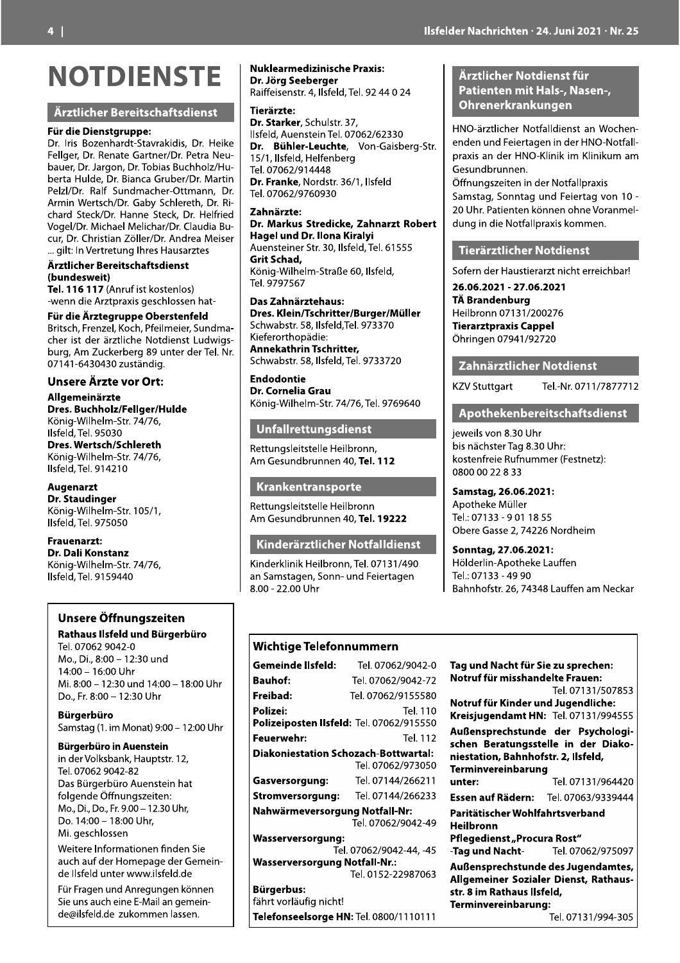## Ärztlicher Bereitschaftsdienst

#### Für die Dienstgruppe:

Dr. Iris Bozenhardt-Stavrakidis, Dr. Heike Fellger, Dr. Renate Gartner/Dr. Petra Neubauer, Dr. Jargon, Dr. Tobias Buchholz/Huberta Hulde, Dr. Bianca Gruber/Dr. Martin Pelzl/Dr. Ralf Sundmacher-Ottmann, Dr. Armin Wertsch/Dr. Gaby Schlereth, Dr. Richard Steck/Dr. Hanne Steck, Dr. Helfried Vogel/Dr. Michael Melichar/Dr. Claudia Bucur, Dr. Christian Zöller/Dr. Andrea Meiser ... gilt: In Vertretung Ihres Hausarztes

Ärztlicher Bereitschaftsdienst (bundesweit)

Tel. 116 117 (Anruf ist kostenlos) -wenn die Arztpraxis geschlossen hat-

#### Für die Ärztegruppe Oberstenfeld

Britsch, Frenzel, Koch, Pfeilmeier, Sundmacher ist der ärztliche Notdienst Ludwigsburg, Am Zuckerberg 89 unter der Tel. Nr. 07141-6430430 zuständig.

## **Unsere Ärzte vor Ort:**

Allgemeinärzte Dres. Buchholz/Fellger/Hulde König-Wilhelm-Str. 74/76. Ilsfeld, Tel. 95030 Dres. Wertsch/Schlereth König-Wilhelm-Str. 74/76, Ilsfeld, Tel. 914210

## **Augenarzt**

**Dr.** Staudinger König-Wilhelm-Str. 105/1, Ilsfeld. Tel. 975050

#### **Frauenarzt:**

Dr. Dali Konstanz König-Wilhelm-Str. 74/76, Ilsfeld, Tel. 9159440

## Unsere Öffnungszeiten

## Rathaus Ilsfeld und Bürgerbüro

Tel. 07062 9042-0 Mo., Di., 8:00 - 12:30 und 14:00 - 16:00 Uhr Mi. 8:00 - 12:30 und 14:00 - 18:00 Uhr Do., Fr. 8:00 - 12:30 Uhr

**Bürgerbüro** Samstag (1. im Monat) 9:00 - 12:00 Uhr

## **Bürgerbüro in Auenstein**

in der Volksbank, Hauptstr. 12. Tel. 07062 9042-82 Das Bürgerbüro Auenstein hat folgende Öffnungszeiten: Mo., Di., Do., Fr. 9.00 - 12.30 Uhr, Do. 14:00 - 18:00 Uhr. Mi. geschlossen

Weitere Informationen finden Sie auch auf der Homepage der Gemeinde Ilsfeld unter www.ilsfeld.de

Für Fragen und Anregungen können Sie uns auch eine E-Mail an gemeinde@ilsfeld.de zukommen lassen.

#### **Nuklearmedizinische Praxis:** Dr. Jörg Seeberger

Raiffeisenstr. 4, Ilsfeld, Tel. 92 44 0 24

Tierärzte: Dr. Starker, Schulstr, 37, Ilsfeld, Auenstein Tel. 07062/62330 Dr. Bühler-Leuchte, Von-Gaisberg-Str. 15/1, Ilsfeld, Helfenberg Tel. 07062/914448 Dr. Franke, Nordstr. 36/1, Ilsfeld Tel. 07062/9760930

#### Zahnärzte:

Dr. Markus Stredicke, Zahnarzt Robert Hagel und Dr. Ilona Kiralyi Auensteiner Str. 30, Ilsfeld, Tel. 61555 Grit Schad, König-Wilhelm-Straße 60, Ilsfeld, Tel. 9797567

Das Zahnärztehaus: Dres. Klein/Tschritter/Burger/Müller Schwabstr. 58, Ilsfeld, Tel. 973370 Kieferorthopädie: **Annekathrin Tschritter,** 

Schwabstr. 58, Ilsfeld, Tel. 9733720

**Endodontie** Dr. Cornelia Grau König-Wilhelm-Str. 74/76, Tel. 9769640

## **Unfallrettungsdienst**

Rettungsleitstelle Heilbronn, Am Gesundbrunnen 40, Tel. 112

#### Krankentransporte

Rettungsleitstelle Heilbronn Am Gesundbrunnen 40, Tel. 19222

## Kinderärztlicher Notfalldienst

Kinderklinik Heilbronn, Tel. 07131/490 an Samstagen, Sonn- und Feiertagen 8.00 - 22.00 Uhr

## **Wichtige Telefonnummern**

| Gemeinde Ilsfeld:                        | Tel. 07062/9042-0       |  |  |  |  |
|------------------------------------------|-------------------------|--|--|--|--|
| Bauhof:                                  | Tel. 07062/9042-72      |  |  |  |  |
| Freibad:                                 | Tel. 07062/9155580      |  |  |  |  |
| Polizei:                                 | Tel. 110                |  |  |  |  |
| Polizeiposten Ilsfeld: Tel. 07062/915550 |                         |  |  |  |  |
| Feuerwehr:                               | Tel. 112                |  |  |  |  |
| Diakoniestation Schozach-Bottwartal:     |                         |  |  |  |  |
|                                          | Tel. 07062/973050       |  |  |  |  |
| Gasversorgung:                           | Tel. 07144/266211       |  |  |  |  |
| Stromversorgung: Tel. 07144/266233       |                         |  |  |  |  |
| Nahwärmeversorgung Notfall-Nr:           |                         |  |  |  |  |
|                                          | Tel. 07062/9042-49      |  |  |  |  |
| Wasserversorgung:                        |                         |  |  |  |  |
|                                          | Tel. 07062/9042-44, -45 |  |  |  |  |
| <b>Wasserversorgung Notfall-Nr.:</b>     |                         |  |  |  |  |
|                                          | Tel. 0152-22987063      |  |  |  |  |
| Bürgerbus:<br>fährt vorläufig nicht!     |                         |  |  |  |  |

Telefonseelsorge HN: Tel. 0800/1110111

## Ärztlicher Notdienst für Patienten mit Hals-, Nasen-, Ohrenerkrankungen

HNO-ärztlicher Notfalldienst an Wochenenden und Feiertagen in der HNO-Notfallpraxis an der HNO-Klinik im Klinikum am Gesundbrunnen.

Öffnungszeiten in der Notfallpraxis Samstag, Sonntag und Feiertag von 10 -20 Uhr. Patienten können ohne Voranmeldung in die Notfallpraxis kommen.

#### **Tierärztlicher Notdienst**

Sofern der Haustierarzt nicht erreichbar!

26.06.2021 - 27.06.2021 **TÄ Brandenburg** Heilbronn 07131/200276 **Tierarztpraxis Cappel** Öhringen 07941/92720

#### Zahnärztlicher Notdienst

**KZV Stuttgart** 

## Apothekenbereitschaftsdienst

Tel.-Nr. 0711/7877712

jeweils von 8.30 Uhr bis nächster Tag 8.30 Uhr: kostenfreie Rufnummer (Festnetz): 0800 00 22 8 33

Samstag, 26.06.2021: Apotheke Müller Tel.: 07133 - 901 18 55 Obere Gasse 2, 74226 Nordheim

Sonntag, 27.06.2021: Hölderlin-Apotheke Lauffen Tel: 07133 - 49 90 Bahnhofstr. 26, 74348 Lauffen am Neckar

#### Tag und Nacht für Sie zu sprechen: Notruf für misshandelte Frauen: Tel. 07131/507853 Notruf für Kinder und Jugendliche: Kreisjugendamt HN: Tel. 07131/994555 Außensprechstunde der Psychologischen Beratungsstelle in der Diakoniestation, Bahnhofstr. 2, Ilsfeld, **Terminvereinbarung** Tel. 07131/964420 unter<sup>.</sup> Essen auf Rädern: Tel. 07063/9339444 Paritätischer Wohlfahrtsverband **Heilbronn** Pfleaedienst "Procura Rost" -Tag und Nacht-Tel. 07062/975097 Außensprechstunde des Jugendamtes, Allgemeiner Sozialer Dienst, Rathausstr. 8 im Rathaus Ilsfeld, Terminvereinbarung:

Tel. 07131/994-305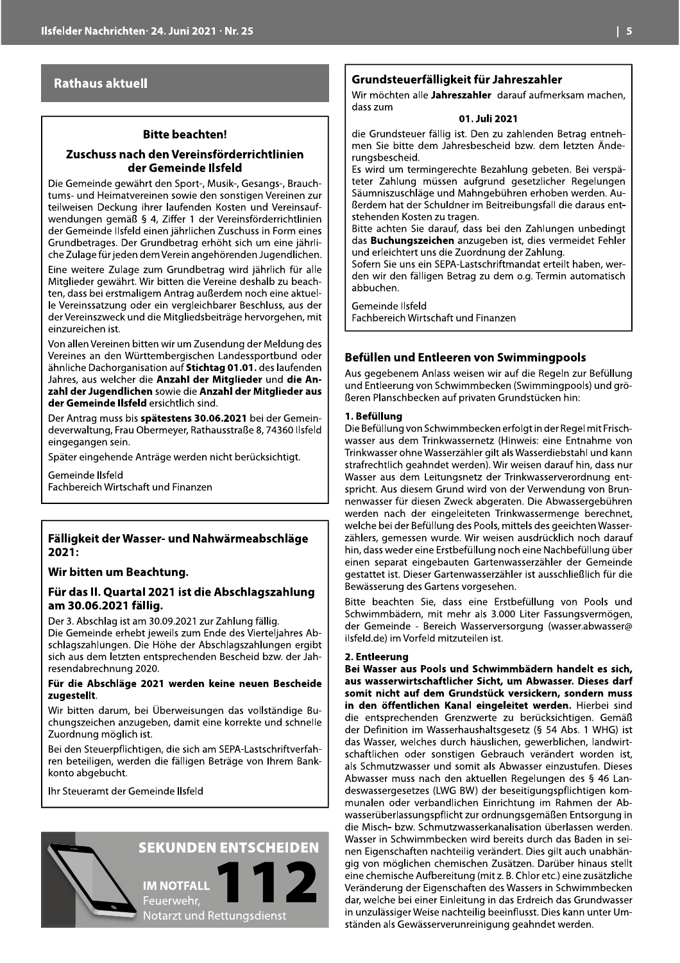## **Rathaus aktuell**

#### **Bitte beachten!**

#### Zuschuss nach den Vereinsförderrichtlinien der Gemeinde Ilsfeld

Die Gemeinde gewährt den Sport-, Musik-, Gesangs-, Brauchtums- und Heimatvereinen sowie den sonstigen Vereinen zur teilweisen Deckung ihrer laufenden Kosten und Vereinsaufwendungen gemäß § 4, Ziffer 1 der Vereinsförderrichtlinien der Gemeinde Ilsfeld einen jährlichen Zuschuss in Form eines Grundbetrages. Der Grundbetrag erhöht sich um eine jährliche Zulage für jeden dem Verein angehörenden Jugendlichen.

Eine weitere Zulage zum Grundbetrag wird jährlich für alle Mitglieder gewährt. Wir bitten die Vereine deshalb zu beachten, dass bei erstmaligem Antrag außerdem noch eine aktuelle Vereinssatzung oder ein vergleichbarer Beschluss, aus der der Vereinszweck und die Mitgliedsbeiträge hervorgehen, mit einzureichen ist.

Von allen Vereinen bitten wir um Zusendung der Meldung des Vereines an den Württembergischen Landessportbund oder ähnliche Dachorganisation auf Stichtag 01.01. des laufenden Jahres, aus welcher die Anzahl der Mitglieder und die Anzahl der Jugendlichen sowie die Anzahl der Mitglieder aus der Gemeinde Ilsfeld ersichtlich sind.

Der Antrag muss bis spätestens 30.06.2021 bei der Gemeindeverwaltung, Frau Obermeyer, Rathausstraße 8, 74360 Ilsfeld eingegangen sein.

Später eingehende Anträge werden nicht berücksichtigt.

Gemeinde Ilsfeld Fachbereich Wirtschaft und Finanzen

#### Fälligkeit der Wasser- und Nahwärmeabschläge 2021:

#### Wir bitten um Beachtung.

#### Für das II. Quartal 2021 ist die Abschlagszahlung am 30.06.2021 fällig.

Der 3. Abschlag ist am 30.09.2021 zur Zahlung fällig. Die Gemeinde erhebt jeweils zum Ende des Vierteliahres Abschlagszahlungen. Die Höhe der Abschlagszahlungen ergibt sich aus dem letzten entsprechenden Bescheid bzw. der Jahresendabrechnung 2020.

#### Für die Abschläge 2021 werden keine neuen Bescheide zugestellt.

Wir bitten darum, bei Überweisungen das vollständige Buchungszeichen anzugeben, damit eine korrekte und schnelle Zuordnung möglich ist.

Bei den Steuerpflichtigen, die sich am SEPA-Lastschriftverfahren beteiligen, werden die fälligen Beträge von Ihrem Bankkonto abgebucht.

Ihr Steueramt der Gemeinde Ilsfeld



## **SEKUNDEN ENTSCHEIDEN**

**IM NOTFALL** Feuerwehr, Notarzt und Rettungsdienst

## Grundsteuerfälligkeit für Jahreszahler

Wir möchten alle Jahreszahler darauf aufmerksam machen, dass zum

#### 01. Juli 2021

die Grundsteuer fällig ist. Den zu zahlenden Betrag entnehmen Sie bitte dem Jahresbescheid bzw. dem letzten Änderungsbescheid.

Es wird um termingerechte Bezahlung gebeten. Bei verspäteter Zahlung müssen aufgrund gesetzlicher Regelungen Säumniszuschläge und Mahngebühren erhoben werden. Außerdem hat der Schuldner im Beitreibungsfall die daraus entstehenden Kosten zu tragen.

Bitte achten Sie darauf, dass bei den Zahlungen unbedingt das Buchungszeichen anzugeben ist, dies vermeidet Fehler und erleichtert uns die Zuordnung der Zahlung.

Sofern Sie uns ein SEPA-Lastschriftmandat erteilt haben, werden wir den fälligen Betrag zu dem o.g. Termin automatisch abbuchen.

Gemeinde Ilsfeld Fachbereich Wirtschaft und Finanzen

## Befüllen und Entleeren von Swimmingpools

Aus gegebenem Anlass weisen wir auf die Regeln zur Befüllung und Entleerung von Schwimmbecken (Swimmingpools) und größeren Planschbecken auf privaten Grundstücken hin:

#### 1. Befüllung

Die Befüllung von Schwimmbecken erfolgt in der Regel mit Frischwasser aus dem Trinkwassernetz (Hinweis: eine Entnahme von Trinkwasser ohne Wasserzähler gilt als Wasserdiebstahl und kann strafrechtlich geahndet werden). Wir weisen darauf hin, dass nur Wasser aus dem Leitungsnetz der Trinkwasserverordnung entspricht. Aus diesem Grund wird von der Verwendung von Brunnenwasser für diesen Zweck abgeraten. Die Abwassergebühren werden nach der eingeleiteten Trinkwassermenge berechnet, welche bei der Befüllung des Pools, mittels des geeichten Wasserzählers, gemessen wurde. Wir weisen ausdrücklich noch darauf hin, dass weder eine Erstbefüllung noch eine Nachbefüllung über einen separat eingebauten Gartenwasserzähler der Gemeinde gestattet ist. Dieser Gartenwasserzähler ist ausschließlich für die Bewässerung des Gartens vorgesehen.

Bitte beachten Sie, dass eine Erstbefüllung von Pools und Schwimmbädern, mit mehr als 3.000 Liter Fassungsvermögen, der Gemeinde - Bereich Wasserversorgung (wasser.abwasser@ ilsfeld.de) im Vorfeld mitzuteilen ist.

#### 2. Entleerung

Bei Wasser aus Pools und Schwimmbädern handelt es sich, aus wasserwirtschaftlicher Sicht, um Abwasser. Dieses darf somit nicht auf dem Grundstück versickern, sondern muss in den öffentlichen Kanal eingeleitet werden. Hierbei sind die entsprechenden Grenzwerte zu berücksichtigen. Gemäß der Definition im Wasserhaushaltsgesetz (§ 54 Abs. 1 WHG) ist das Wasser, welches durch häuslichen, gewerblichen, landwirtschaftlichen oder sonstigen Gebrauch verändert worden ist, als Schmutzwasser und somit als Abwasser einzustufen. Dieses Abwasser muss nach den aktuellen Regelungen des § 46 Landeswassergesetzes (LWG BW) der beseitigungspflichtigen kommunalen oder verbandlichen Einrichtung im Rahmen der Abwasserüberlassungspflicht zur ordnungsgemäßen Entsorgung in die Misch- bzw. Schmutzwasserkanalisation überlassen werden. Wasser in Schwimmbecken wird bereits durch das Baden in seinen Eigenschaften nachteilig verändert. Dies gilt auch unabhängig von möglichen chemischen Zusätzen. Darüber hinaus stellt eine chemische Aufbereitung (mit z. B. Chlor etc.) eine zusätzliche Veränderung der Eigenschaften des Wassers in Schwimmbecken dar, welche bei einer Einleitung in das Erdreich das Grundwasser in unzulässiger Weise nachteilig beeinflusst. Dies kann unter Umständen als Gewässerverunreinigung geahndet werden.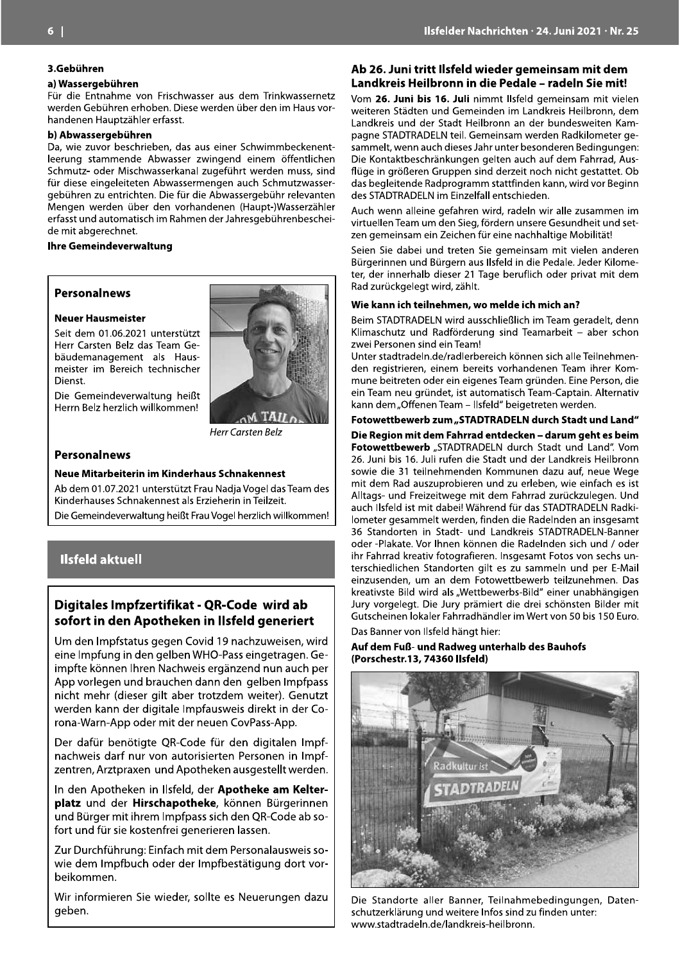#### 3.Gebühren

#### a) Wassergebühren

Für die Entnahme von Frischwasser aus dem Trinkwassernetz werden Gebühren erhoben. Diese werden über den im Haus vorhandenen Hauptzähler erfasst.

#### b) Abwassergebühren

Da, wie zuvor beschrieben, das aus einer Schwimmbeckenentleerung stammende Abwasser zwingend einem öffentlichen Schmutz- oder Mischwasserkanal zugeführt werden muss, sind für diese eingeleiteten Abwassermengen auch Schmutzwassergebühren zu entrichten. Die für die Abwassergebühr relevanten Mengen werden über den vorhandenen (Haupt-)Wasserzähler erfasst und automatisch im Rahmen der Jahresgebührenbescheide mit abgerechnet.

#### **Ihre Gemeindeverwaltung**

#### **Personalnews**

#### **Neuer Hausmeister**

Seit dem 01.06.2021 unterstützt Herr Carsten Belz das Team Gebäudemanagement als Hausmeister im Bereich technischer Dienst.

Die Gemeindeverwaltung heißt Herrn Belz herzlich willkommen!



#### **Personalnews**

#### Neue Mitarbeiterin im Kinderhaus Schnakennest

Ab dem 01.07.2021 unterstützt Frau Nadia Vogel das Team des Kinderhauses Schnakennest als Erzieherin in Teilzeit. Die Gemeindeverwaltung heißt Frau Vogel herzlich willkommen!

## **Ilsfeld aktuell**

## Digitales Impfzertifikat - QR-Code wird ab sofort in den Apotheken in Ilsfeld generiert

Um den Impfstatus gegen Covid 19 nachzuweisen, wird eine Impfung in den gelben WHO-Pass eingetragen. Geimpfte können Ihren Nachweis ergänzend nun auch per App vorlegen und brauchen dann den gelben Impfpass nicht mehr (dieser gilt aber trotzdem weiter). Genutzt werden kann der digitale Impfausweis direkt in der Corona-Warn-App oder mit der neuen CovPass-App.

Der dafür benötigte QR-Code für den digitalen Impfnachweis darf nur von autorisierten Personen in Impfzentren, Arztpraxen und Apotheken ausgestellt werden.

In den Apotheken in Ilsfeld, der Apotheke am Kelterplatz und der Hirschapotheke, können Bürgerinnen und Bürger mit ihrem Impfpass sich den QR-Code ab sofort und für sie kostenfrei generieren lassen.

Zur Durchführung: Einfach mit dem Personalausweis sowie dem Impfbuch oder der Impfbestätigung dort vorbeikommen.

Wir informieren Sie wieder, sollte es Neuerungen dazu geben.

#### Ab 26. Juni tritt Ilsfeld wieder gemeinsam mit dem Landkreis Heilbronn in die Pedale – radeln Sie mit!

Vom 26. Juni bis 16. Juli nimmt Ilsfeld gemeinsam mit vielen weiteren Städten und Gemeinden im Landkreis Heilbronn, dem Landkreis und der Stadt Heilbronn an der bundesweiten Kampagne STADTRADELN teil. Gemeinsam werden Radkilometer gesammelt, wenn auch dieses Jahr unter besonderen Bedingungen: Die Kontaktbeschränkungen gelten auch auf dem Fahrrad, Ausflüge in größeren Gruppen sind derzeit noch nicht gestattet. Ob das begleitende Radprogramm stattfinden kann, wird vor Beginn des STADTRADELN im Einzelfall entschieden.

Auch wenn alleine gefahren wird, radeln wir alle zusammen im virtuellen Team um den Sieg, fördern unsere Gesundheit und setzen gemeinsam ein Zeichen für eine nachhaltige Mobilität!

Seien Sie dabei und treten Sie gemeinsam mit vielen anderen Bürgerinnen und Bürgern aus Ilsfeld in die Pedale. Jeder Kilometer, der innerhalb dieser 21 Tage beruflich oder privat mit dem Rad zurückgelegt wird, zählt.

#### Wie kann ich teilnehmen, wo melde ich mich an?

Beim STADTRADELN wird ausschließlich im Team geradelt, denn Klimaschutz und Radförderung sind Teamarbeit - aber schon zwei Personen sind ein Team!

Unter stadtradeln.de/radlerbereich können sich alle Teilnehmenden registrieren, einem bereits vorhandenen Team ihrer Kommune beitreten oder ein eigenes Team gründen. Eine Person, die ein Team neu gründet, ist automatisch Team-Captain. Alternativ kann dem "Offenen Team - Ilsfeld" beigetreten werden.

Fotowettbewerb zum "STADTRADELN durch Stadt und Land" Die Region mit dem Fahrrad entdecken - darum geht es beim Fotowettbewerb "STADTRADELN durch Stadt und Land". Vom 26. Juni bis 16. Juli rufen die Stadt und der Landkreis Heilbronn sowie die 31 teilnehmenden Kommunen dazu auf, neue Wege mit dem Rad auszuprobieren und zu erleben, wie einfach es ist Alltags- und Freizeitwege mit dem Fahrrad zurückzulegen. Und auch Ilsfeld ist mit dabei! Während für das STADTRADELN Radkilometer gesammelt werden, finden die Radelnden an insgesamt 36 Standorten in Stadt- und Landkreis STADTRADELN-Banner oder -Plakate. Vor Ihnen können die Radelnden sich und / oder ihr Fahrrad kreativ fotografieren. Insgesamt Fotos von sechs unterschiedlichen Standorten gilt es zu sammeln und per E-Mail einzusenden, um an dem Fotowettbewerb teilzunehmen. Das kreativste Bild wird als "Wettbewerbs-Bild" einer unabhängigen Jury vorgelegt. Die Jury prämiert die drei schönsten Bilder mit Gutscheinen lokaler Fahrradhändler im Wert von 50 bis 150 Euro.

Das Banner von Ilsfeld hängt hier:

#### Auf dem Fuß- und Radweg unterhalb des Bauhofs (Porschestr.13, 74360 Ilsfeld)



Die Standorte aller Banner, Teilnahmebedingungen, Datenschutzerklärung und weitere Infos sind zu finden unter: www.stadtradeln.de/landkreis-heilbronn.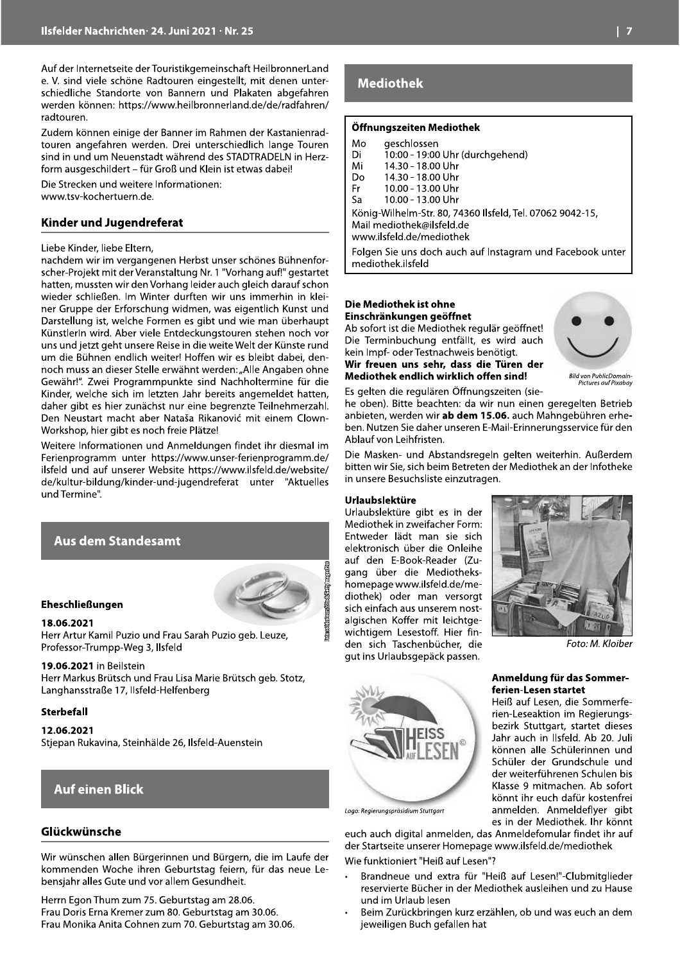Auf der Internetseite der Touristikgemeinschaft HeilbronnerLand e. V. sind viele schöne Radtouren eingestellt, mit denen unterschiedliche Standorte von Bannern und Plakaten abgefahren werden können: https://www.heilbronnerland.de/de/radfahren/ radtouren.

Zudem können einige der Banner im Rahmen der Kastanienradtouren angefahren werden. Drei unterschiedlich lange Touren sind in und um Neuenstadt während des STADTRADELN in Herzform ausgeschildert - für Groß und Klein ist etwas dabei!

Die Strecken und weitere Informationen: www.tsv-kochertuern.de.

#### **Kinder und Jugendreferat**

#### Liebe Kinder, liebe Eltern,

nachdem wir im vergangenen Herbst unser schönes Bühnenforscher-Projekt mit der Veranstaltung Nr. 1 "Vorhang auf!" gestartet hatten, mussten wir den Vorhang leider auch gleich darauf schon wieder schließen. Im Winter durften wir uns immerhin in kleiner Gruppe der Erforschung widmen, was eigentlich Kunst und Darstellung ist, welche Formen es gibt und wie man überhaupt KünstlerIn wird. Aber viele Entdeckungstouren stehen noch vor uns und jetzt geht unsere Reise in die weite Welt der Künste rund um die Bühnen endlich weiter! Hoffen wir es bleibt dabei, dennoch muss an dieser Stelle erwähnt werden: "Alle Angaben ohne Gewähr!". Zwei Programmpunkte sind Nachholtermine für die Kinder, welche sich im letzten Jahr bereits angemeldet hatten, daher gibt es hier zunächst nur eine begrenzte Teilnehmerzahl. Den Neustart macht aber Nataša Rikanović mit einem Clown-Workshop, hier gibt es noch freie Plätze!

Weitere Informationen und Anmeldungen findet ihr diesmal im Ferienprogramm unter https://www.unser-ferienprogramm.de/ ilsfeld und auf unserer Website https://www.ilsfeld.de/website/ de/kultur-bildung/kinder-und-jugendreferat unter "Aktuelles und Termine".

## **Aus dem Standesamt**



#### **Eheschließungen**

#### 18.06.2021

Herr Artur Kamil Puzio und Frau Sarah Puzio geb. Leuze, Professor-Trumpp-Weg 3, Ilsfeld

#### 19.06.2021 in Beilstein

Herr Markus Brütsch und Frau Lisa Marie Brütsch geb. Stotz, Langhansstraße 17, Ilsfeld-Helfenberg

#### **Sterbefall**

12.06.2021 Stjepan Rukavina, Steinhälde 26, Ilsfeld-Auenstein

## **Auf einen Blick**

#### Glückwünsche

Wir wünschen allen Bürgerinnen und Bürgern, die im Laufe der kommenden Woche ihren Geburtstag feiern, für das neue Lebensjahr alles Gute und vor allem Gesundheit.

Herrn Egon Thum zum 75. Geburtstag am 28.06. Frau Doris Erna Kremer zum 80. Geburtstag am 30.06. Frau Monika Anita Cohnen zum 70. Geburtstag am 30.06.

## **Mediothek**

#### Öffnungszeiten Mediothek

| Mo                        | geschlossen                                               |  |
|---------------------------|-----------------------------------------------------------|--|
| Di                        | 10:00 - 19:00 Uhr (durchgehend)                           |  |
| Mi                        | 14.30 - 18.00 Uhr                                         |  |
| Do                        | 14.30 - 18.00 Uhr                                         |  |
| Fr                        | 10.00 - 13.00 Uhr                                         |  |
| Sa                        | 10.00 - 13.00 Uhr                                         |  |
|                           | König-Wilhelm-Str. 80, 74360 Ilsfeld, Tel. 07062 9042-15, |  |
| Mail mediothek@ilsfeld.de |                                                           |  |
| www.ilsfeld.de/mediothek  |                                                           |  |
|                           |                                                           |  |

Folgen Sie uns doch auch auf Instagram und Facebook unter mediothek.ilsfeld

#### Die Mediothek ist ohne Einschränkungen geöffnet

Ab sofort ist die Mediothek regulär geöffnet! Die Terminbuchung entfällt, es wird auch kein Impf- oder Testnachweis benötigt. Wir freuen uns sehr, dass die Türen der Mediothek endlich wirklich offen sind!



Bild von PublicDomain-<br>Pictures auf Pixabay

Es gelten die regulären Öffnungszeiten (siehe oben). Bitte beachten: da wir nun einen geregelten Betrieb anbieten, werden wir ab dem 15.06. auch Mahngebühren erheben. Nutzen Sie daher unseren E-Mail-Erinnerungsservice für den Ablauf von Leihfristen.

Die Masken- und Abstandsregeln gelten weiterhin. Außerdem bitten wir Sie, sich beim Betreten der Mediothek an der Infotheke in unsere Besuchsliste einzutragen.

#### **Urlaubslektüre**

Urlaubslektüre gibt es in der Mediothek in zweifacher Form: Entweder lädt man sie sich elektronisch über die Onleihe auf den E-Book-Reader (Zugang über die Mediothekshomepage www.ilsfeld.de/mediothek) oder man versorgt sich einfach aus unserem nostalgischen Koffer mit leichtgewichtigem Lesestoff. Hier finden sich Taschenbücher, die gut ins Urlaubsgepäck passen.

Logo: Regierungspräsidium Stuttgart



Foto: M. Kloiber

#### Anmeldung für das Sommerferien-Lesen startet

Heiß auf Lesen, die Sommerferien-Leseaktion im Regierungsbezirk Stuttgart, startet dieses Jahr auch in Ilsfeld. Ab 20. Juli können alle Schülerinnen und Schüler der Grundschule und der weiterführenen Schulen bis Klasse 9 mitmachen. Ab sofort könnt ihr euch dafür kostenfrei anmelden. Anmeldeflyer gibt es in der Mediothek. Ihr könnt

euch auch digital anmelden, das Anmeldefomular findet ihr auf der Startseite unserer Homepage www.ilsfeld.de/mediothek Wie funktioniert "Heiß auf Lesen"?

- Brandneue und extra für "Heiß auf Lesen!"-Clubmitglieder reservierte Bücher in der Mediothek ausleihen und zu Hause und im Urlaub lesen
- Beim Zurückbringen kurz erzählen, ob und was euch an dem jeweiligen Buch gefallen hat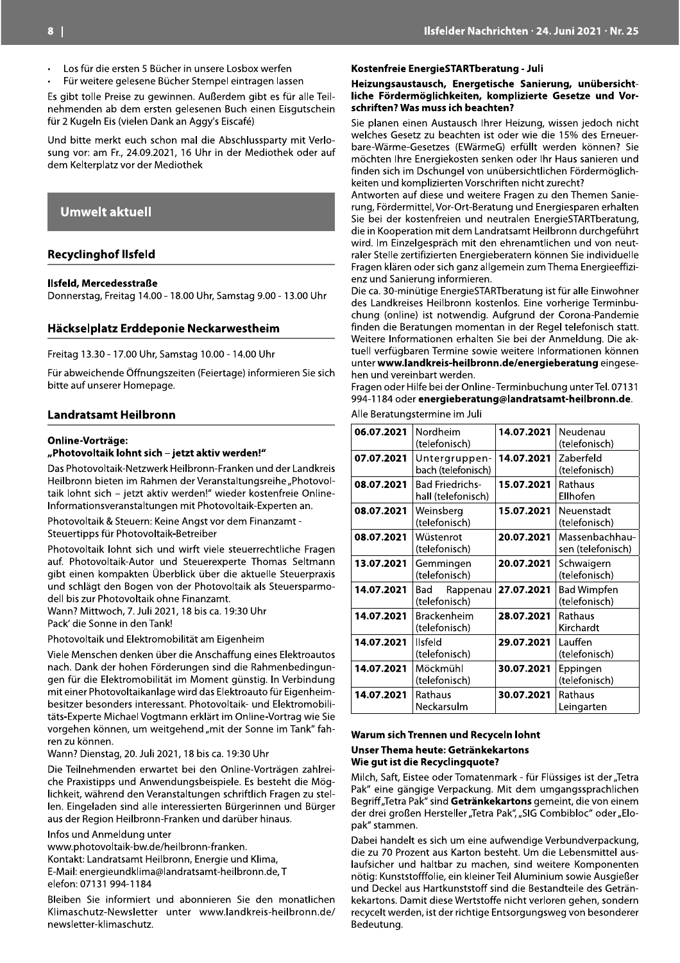- Los für die ersten 5 Bücher in unsere Losbox werfen
- Für weitere gelesene Bücher Stempel eintragen lassen

Es gibt tolle Preise zu gewinnen. Außerdem gibt es für alle Teilnehmenden ab dem ersten gelesenen Buch einen Eisgutschein für 2 Kugeln Eis (vielen Dank an Aggy's Eiscafé)

Und bitte merkt euch schon mal die Abschlussparty mit Verlosung vor: am Fr., 24.09.2021, 16 Uhr in der Mediothek oder auf dem Kelterplatz vor der Mediothek

#### **Umwelt aktuell**

#### **Recyclinghof Ilsfeld**

#### Ilsfeld, Mercedesstraße

Donnerstag, Freitag 14.00 - 18.00 Uhr, Samstag 9.00 - 13.00 Uhr

#### Häckselplatz Erddeponie Neckarwestheim

Freitag 13.30 - 17.00 Uhr, Samstag 10.00 - 14.00 Uhr

Für abweichende Öffnungszeiten (Feiertage) informieren Sie sich bitte auf unserer Homepage.

#### **Landratsamt Heilbronn**

#### **Online-Vorträge:**

#### "Photovoltaik lohnt sich - jetzt aktiv werden!"

Das Photovoltaik-Netzwerk Heilbronn-Franken und der Landkreis Heilbronn bieten im Rahmen der Veranstaltungsreihe "Photovoltaik lohnt sich - jetzt aktiv werden!" wieder kostenfreie Online-Informationsveranstaltungen mit Photovoltaik-Experten an.

Photovoltaik & Steuern: Keine Angst vor dem Finanzamt -Steuertipps für Photovoltaik-Betreiber

Photovoltaik lohnt sich und wirft viele steuerrechtliche Fragen auf. Photovoltaik-Autor und Steuerexperte Thomas Seltmann gibt einen kompakten Überblick über die aktuelle Steuerpraxis und schlägt den Bogen von der Photovoltaik als Steuersparmodell bis zur Photovoltaik ohne Finanzamt.

Wann? Mittwoch, 7. Juli 2021, 18 bis ca. 19:30 Uhr Pack' die Sonne in den Tank!

Photovoltaik und Elektromobilität am Eigenheim

Viele Menschen denken über die Anschaffung eines Elektroautos nach. Dank der hohen Förderungen sind die Rahmenbedingungen für die Elektromobilität im Moment günstig. In Verbindung mit einer Photovoltaikanlage wird das Elektroauto für Eigenheimbesitzer besonders interessant. Photovoltaik- und Elektromobilitäts-Experte Michael Vogtmann erklärt im Online-Vortrag wie Sie vorgehen können, um weitgehend "mit der Sonne im Tank" fahren zu können.

Wann? Dienstag, 20. Juli 2021, 18 bis ca. 19:30 Uhr

Die Teilnehmenden erwartet bei den Online-Vorträgen zahlreiche Praxistipps und Anwendungsbeispiele. Es besteht die Möglichkeit, während den Veranstaltungen schriftlich Fragen zu stellen. Eingeladen sind alle interessierten Bürgerinnen und Bürger aus der Region Heilbronn-Franken und darüber hinaus.

Infos und Anmeldung unter

www.photovoltaik-bw.de/heilbronn-franken. Kontakt: Landratsamt Heilbronn, Energie und Klima,

E-Mail: energieundklima@landratsamt-heilbronn.de, T elefon: 07131 994-1184

Bleiben Sie informiert und abonnieren Sie den monatlichen Klimaschutz-Newsletter unter www.landkreis-heilbronn.de/ newsletter-klimaschutz.

#### Kostenfreie EnergieSTARTberatung - Juli

Heizungsaustausch, Energetische Sanierung, unübersichtliche Fördermöglichkeiten, komplizierte Gesetze und Vorschriften? Was muss ich beachten?

Sie planen einen Austausch Ihrer Heizung, wissen jedoch nicht welches Gesetz zu beachten ist oder wie die 15% des Erneuerbare-Wärme-Gesetzes (EWärmeG) erfüllt werden können? Sie möchten Ihre Energiekosten senken oder Ihr Haus sanieren und finden sich im Dschungel von unübersichtlichen Fördermöglichkeiten und komplizierten Vorschriften nicht zurecht?

Antworten auf diese und weitere Fragen zu den Themen Sanierung, Fördermittel, Vor-Ort-Beratung und Energiesparen erhalten Sie bei der kostenfreien und neutralen EnergieSTARTberatung, die in Kooperation mit dem Landratsamt Heilbronn durchgeführt wird. Im Einzelgespräch mit den ehrenamtlichen und von neutraler Stelle zertifizierten Energieberatern können Sie individuelle Fragen klären oder sich ganz allgemein zum Thema Energieeffizienz und Sanierung informieren.

Die ca. 30-minütige EnergieSTARTberatung ist für alle Einwohner des Landkreises Heilbronn kostenlos. Eine vorherige Terminbuchung (online) ist notwendig. Aufgrund der Corona-Pandemie finden die Beratungen momentan in der Regel telefonisch statt. Weitere Informationen erhalten Sie bei der Anmeldung. Die aktuell verfügbaren Termine sowie weitere Informationen können unter www.landkreis-heilbronn.de/energieberatung eingesehen und vereinbart werden.

Fragen oder Hilfe bei der Online-Terminbuchung unter Tel. 07131 994-1184 oder energieberatung@landratsamt-heilbronn.de.

Alle Beratungstermine im Juli

| 06.07.2021 | Nordheim<br>(telefonisch)                    | 14.07.2021 | Neudenau<br>(telefonisch)           |
|------------|----------------------------------------------|------------|-------------------------------------|
| 07.07.2021 | Untergruppen-<br>bach (telefonisch)          | 14.07.2021 | Zaberfeld<br>(telefonisch)          |
| 08.07.2021 | <b>Bad Friedrichs-</b><br>hall (telefonisch) | 15.07.2021 | Rathaus<br>Ellhofen                 |
| 08.07.2021 | Weinsberg<br>(telefonisch)                   | 15.07.2021 | Neuenstadt<br>(telefonisch)         |
| 08.07.2021 | Wüstenrot<br>(telefonisch)                   | 20.07.2021 | Massenbachhau-<br>sen (telefonisch) |
| 13.07.2021 | Gemmingen<br>(telefonisch)                   | 20.07.2021 | Schwaigern<br>(telefonisch)         |
| 14.07.2021 | Rappenau<br>Bad<br>(telefonisch)             | 27.07.2021 | <b>Bad Wimpfen</b><br>(telefonisch) |
| 14.07.2021 | Brackenheim<br>(telefonisch)                 | 28.07.2021 | Rathaus<br>Kirchardt                |
| 14.07.2021 | Ilsfeld<br>(telefonisch)                     | 29.07.2021 | Lauffen<br>(telefonisch)            |
| 14.07.2021 | Möckmühl<br>(telefonisch)                    | 30.07.2021 | Eppingen<br>(telefonisch)           |
| 14.07.2021 | Rathaus<br>Neckarsulm                        | 30.07.2021 | Rathaus<br>Leingarten               |

#### Warum sich Trennen und Recyceln lohnt

#### Unser Thema heute: Getränkekartons Wie gut ist die Recyclingquote?

Milch, Saft, Eistee oder Tomatenmark - für Flüssiges ist der "Tetra Pak" eine gängige Verpackung. Mit dem umgangssprachlichen Begriff "Tetra Pak" sind Getränkekartons gemeint, die von einem der drei großen Hersteller "Tetra Pak", "SIG Combibloc" oder "Elopak" stammen.

Dabei handelt es sich um eine aufwendige Verbundverpackung, die zu 70 Prozent aus Karton besteht. Um die Lebensmittel auslaufsicher und haltbar zu machen, sind weitere Komponenten nötig: Kunststofffolie, ein kleiner Teil Aluminium sowie Ausgießer und Deckel aus Hartkunststoff sind die Bestandteile des Getränkekartons. Damit diese Wertstoffe nicht verloren gehen, sondern recycelt werden, ist der richtige Entsorgungsweg von besonderer Bedeutung.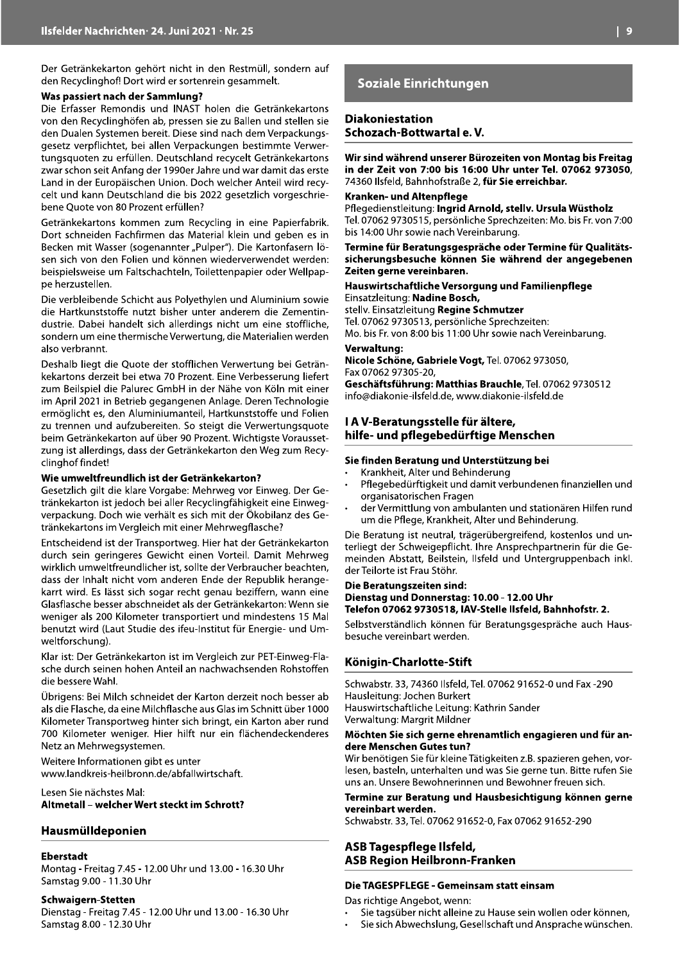Der Getränkekarton gehört nicht in den Restmüll, sondern auf den Recyclinghof! Dort wird er sortenrein gesammelt.

#### Was passiert nach der Sammlung?

Die Erfasser Remondis und INAST holen die Getränkekartons von den Recyclinghöfen ab, pressen sie zu Ballen und stellen sie den Dualen Systemen bereit. Diese sind nach dem Verpackungsgesetz verpflichtet, bei allen Verpackungen bestimmte Verwertungsquoten zu erfüllen. Deutschland recycelt Getränkekartons zwar schon seit Anfang der 1990er Jahre und war damit das erste Land in der Europäischen Union. Doch welcher Anteil wird recycelt und kann Deutschland die bis 2022 gesetzlich vorgeschriebene Quote von 80 Prozent erfüllen?

Getränkekartons kommen zum Recycling in eine Papierfabrik. Dort schneiden Fachfirmen das Material klein und geben es in Becken mit Wasser (sogenannter "Pulper"). Die Kartonfasern lösen sich von den Folien und können wiederverwendet werden: beispielsweise um Faltschachteln, Toilettenpapier oder Wellpappe herzustellen.

Die verbleibende Schicht aus Polyethylen und Aluminium sowie die Hartkunststoffe nutzt bisher unter anderem die Zementindustrie. Dabei handelt sich allerdings nicht um eine stoffliche, sondern um eine thermische Verwertung, die Materialien werden also verbrannt.

Deshalb liegt die Quote der stofflichen Verwertung bei Getränkekartons derzeit bei etwa 70 Prozent. Eine Verbesserung liefert zum Beilspiel die Palurec GmbH in der Nähe von Köln mit einer im April 2021 in Betrieb gegangenen Anlage. Deren Technologie ermöglicht es, den Aluminiumanteil, Hartkunststoffe und Folien zu trennen und aufzubereiten. So steigt die Verwertungsquote beim Getränkekarton auf über 90 Prozent. Wichtigste Voraussetzung ist allerdings, dass der Getränkekarton den Weg zum Recyclinghof findet!

#### Wie umweltfreundlich ist der Getränkekarton?

Gesetzlich gilt die klare Vorgabe: Mehrweg vor Einweg. Der Getränkekarton ist jedoch bei aller Recyclingfähigkeit eine Einwegverpackung. Doch wie verhält es sich mit der Ökobilanz des Getränkekartons im Vergleich mit einer Mehrwegflasche?

Entscheidend ist der Transportweg. Hier hat der Getränkekarton durch sein geringeres Gewicht einen Vorteil. Damit Mehrweg wirklich umweltfreundlicher ist, sollte der Verbraucher beachten, dass der Inhalt nicht vom anderen Ende der Republik herangekarrt wird. Es lässt sich sogar recht genau beziffern, wann eine Glasflasche besser abschneidet als der Getränkekarton: Wenn sie weniger als 200 Kilometer transportiert und mindestens 15 Mal benutzt wird (Laut Studie des ifeu-Institut für Energie- und Umweltforschung).

Klar ist: Der Getränkekarton ist im Vergleich zur PET-Einweg-Flasche durch seinen hohen Anteil an nachwachsenden Rohstoffen die bessere Wahl.

Übrigens: Bei Milch schneidet der Karton derzeit noch besser ab als die Flasche, da eine Milchflasche aus Glas im Schnitt über 1000 Kilometer Transportweg hinter sich bringt, ein Karton aber rund 700 Kilometer weniger. Hier hilft nur ein flächendeckenderes Netz an Mehrwegsystemen.

Weitere Informationen gibt es unter www.landkreis-heilbronn.de/abfallwirtschaft.

Lesen Sie nächstes Mal: Altmetall - welcher Wert steckt im Schrott?

#### Hausmülldeponien

#### **Eberstadt**

Montag - Freitag 7.45 - 12.00 Uhr und 13.00 - 16.30 Uhr Samstag 9.00 - 11.30 Uhr

#### **Schwaigern-Stetten**

Dienstag - Freitag 7.45 - 12.00 Uhr und 13.00 - 16.30 Uhr Samstag 8.00 - 12.30 Uhr

## Soziale Einrichtungen

#### **Diakoniestation** Schozach-Bottwartal e.V.

Wir sind während unserer Bürozeiten von Montag bis Freitag in der Zeit von 7:00 bis 16:00 Uhr unter Tel. 07062 973050, 74360 Ilsfeld, Bahnhofstraße 2, für Sie erreichbar.

#### Kranken- und Altenpflege

Pflegedienstleitung: Ingrid Arnold, stelly. Ursula Wüstholz Tel. 07062 9730515, persönliche Sprechzeiten: Mo. bis Fr. von 7:00 bis 14:00 Uhr sowie nach Vereinbarung.

Termine für Beratungsgespräche oder Termine für Qualitätssicherungsbesuche können Sie während der angegebenen Zeiten gerne vereinbaren.

#### Hauswirtschaftliche Versorgung und Familienpflege Einsatzleitung: Nadine Bosch,

stellv. Einsatzleitung Regine Schmutzer Tel. 07062 9730513, persönliche Sprechzeiten: Mo. bis Fr. von 8:00 bis 11:00 Uhr sowie nach Vereinbarung.

#### Verwaltung:

Nicole Schöne, Gabriele Vogt, Tel. 07062 973050, Fax 07062 97305-20,

Geschäftsführung: Matthias Brauchle, Tel. 07062 9730512 info@diakonie-ilsfeld.de, www.diakonie-ilsfeld.de

## I A V-Beratungsstelle für ältere, hilfe- und pflegebedürftige Menschen

#### Sie finden Beratung und Unterstützung bei

- Krankheit, Alter und Behinderung
- Pflegebedürftigkeit und damit verbundenen finanziellen und organisatorischen Fragen
- der Vermittlung von ambulanten und stationären Hilfen rund um die Pflege, Krankheit, Alter und Behinderung.

Die Beratung ist neutral, trägerübergreifend, kostenlos und unterliegt der Schweigepflicht. Ihre Ansprechpartnerin für die Gemeinden Abstatt, Beilstein, Ilsfeld und Untergruppenbach inkl. der Teilorte ist Frau Stöhr.

#### Die Beratungszeiten sind: Dienstag und Donnerstag: 10.00 - 12.00 Uhr Telefon 07062 9730518, IAV-Stelle Ilsfeld, Bahnhofstr. 2.

Selbstverständlich können für Beratungsgespräche auch Hausbesuche vereinbart werden.

#### Königin-Charlotte-Stift

Schwabstr, 33, 74360 Ilsfeld, Tel. 07062 91652-0 und Fax -290 Hausleitung: Jochen Burkert Hauswirtschaftliche Leitung: Kathrin Sander Verwaltung: Margrit Mildner

#### Möchten Sie sich gerne ehrenamtlich engagieren und für andere Menschen Gutes tun?

Wir benötigen Sie für kleine Tätigkeiten z.B. spazieren gehen, vorlesen, basteln, unterhalten und was Sie gerne tun. Bitte rufen Sie uns an. Unsere Bewohnerinnen und Bewohner freuen sich.

#### Termine zur Beratung und Hausbesichtigung können gerne vereinbart werden.

Schwabstr. 33, Tel. 07062 91652-0, Fax 07062 91652-290

#### ASB Tagespflege Ilsfeld, **ASB Region Heilbronn-Franken**

#### Die TAGESPFLEGE - Gemeinsam statt einsam

Das richtige Angebot, wenn:

- Sie tagsüber nicht alleine zu Hause sein wollen oder können,
- Sie sich Abwechslung, Gesellschaft und Ansprache wünschen.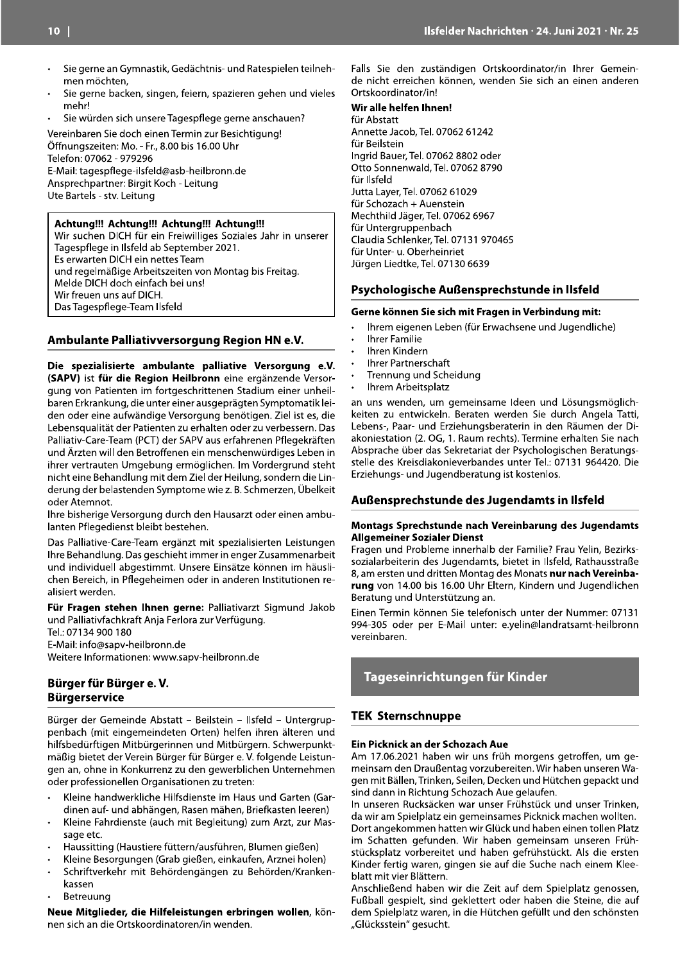- Sie gerne an Gymnastik, Gedächtnis- und Ratespielen teilnehmen möchten.
- Sie gerne backen, singen, feiern, spazieren gehen und vieles mehr!
- Sie würden sich unsere Tagespflege gerne anschauen?

Vereinbaren Sie doch einen Termin zur Besichtigung! Öffnungszeiten: Mo. - Fr., 8.00 bis 16.00 Uhr Telefon: 07062 - 979296 E-Mail: tagespflege-ilsfeld@asb-heilbronn.de Ansprechpartner: Birgit Koch - Leitung Ute Bartels - stv. Leitung

#### Achtung!!! Achtung!!! Achtung!!! Achtung!!!

Wir suchen DICH für ein Freiwilliges Soziales Jahr in unserer Tages of lege in Ilsfeld ab September 2021. Es erwarten DICH ein nettes Team und regelmäßige Arbeitszeiten von Montag bis Freitag. Melde DICH doch einfach bei uns! Wir freuen uns auf DICH. Das Tagespflege-Team Ilsfeld

#### Ambulante Palliativversorgung Region HN e.V.

Die spezialisierte ambulante palliative Versorgung e.V. (SAPV) ist für die Region Heilbronn eine ergänzende Versorgung von Patienten im fortgeschrittenen Stadium einer unheilbaren Erkrankung, die unter einer ausgeprägten Symptomatik leiden oder eine aufwändige Versorgung benötigen. Ziel ist es, die Lebensqualität der Patienten zu erhalten oder zu verbessern. Das Palliativ-Care-Team (PCT) der SAPV aus erfahrenen Pflegekräften und Ärzten will den Betroffenen ein menschenwürdiges Leben in ihrer vertrauten Umgebung ermöglichen. Im Vordergrund steht nicht eine Behandlung mit dem Ziel der Heilung, sondern die Linderung der belastenden Symptome wie z. B. Schmerzen, Übelkeit oder Atemnot.

Ihre bisherige Versorgung durch den Hausarzt oder einen ambulanten Pflegedienst bleibt bestehen.

Das Palliative-Care-Team ergänzt mit spezialisierten Leistungen Ihre Behandlung. Das geschieht immer in enger Zusammenarbeit und individuell abgestimmt. Unsere Einsätze können im häuslichen Bereich, in Pflegeheimen oder in anderen Institutionen realisiert werden.

Für Fragen stehen Ihnen gerne: Palliativarzt Sigmund Jakob und Palliativfachkraft Anja Ferlora zur Verfügung.

Tel.: 07134 900 180 E-Mail: info@sapv-heilbronn.de Weitere Informationen: www.sapv-heilbronn.de

#### Bürger für Bürger e.V. **Bürgerservice**

Bürger der Gemeinde Abstatt - Beilstein - Ilsfeld - Untergruppenbach (mit eingemeindeten Orten) helfen ihren älteren und hilfsbedürftigen Mitbürgerinnen und Mitbürgern. Schwerpunktmäßig bietet der Verein Bürger für Bürger e. V. folgende Leistungen an, ohne in Konkurrenz zu den gewerblichen Unternehmen oder professionellen Organisationen zu treten:

- Kleine handwerkliche Hilfsdienste im Haus und Garten (Gardinen auf- und abhängen, Rasen mähen, Briefkasten leeren)
- Kleine Fahrdienste (auch mit Begleitung) zum Arzt, zur Massage etc.
- Haussitting (Haustiere füttern/ausführen, Blumen gießen)
- Kleine Besorgungen (Grab gießen, einkaufen, Arznei holen)
- Schriftverkehr mit Behördengängen zu Behörden/Kranken- $\ddot{\phantom{0}}$ kassen
- Betreuung

Neue Mitglieder, die Hilfeleistungen erbringen wollen, können sich an die Ortskoordinatoren/in wenden.

Falls Sie den zuständigen Ortskoordinator/in Ihrer Gemeinde nicht erreichen können, wenden Sie sich an einen anderen Ortskoordinator/in!

## Wir alle helfen Ihnen!

für Abstatt Annette Jacob, Tel. 07062 61242 für Beilstein Ingrid Bauer, Tel. 07062 8802 oder Otto Sonnenwald, Tel. 07062 8790 für Ilsfeld Jutta Layer, Tel. 07062 61029 für Schozach + Auenstein Mechthild Jäger, Tel. 07062 6967 für Untergruppenbach Claudia Schlenker, Tel. 07131 970465 für Unter- u. Oberheinriet Jürgen Liedtke, Tel. 07130 6639

#### Psychologische Außensprechstunde in Ilsfeld

#### Gerne können Sie sich mit Fragen in Verbindung mit:

- Ihrem eigenen Leben (für Erwachsene und Jugendliche)
- **Ihrer Familie**
- Ihren Kindern
- **Ihrer Partnerschaft**
- Trennung und Scheidung
- Ihrem Arbeitsplatz

an uns wenden, um gemeinsame Ideen und Lösungsmöglichkeiten zu entwickeln. Beraten werden Sie durch Angela Tatti, Lebens-, Paar- und Erziehungsberaterin in den Räumen der Diakoniestation (2. OG, 1. Raum rechts). Termine erhalten Sie nach Absprache über das Sekretariat der Psychologischen Beratungsstelle des Kreisdiakonieverbandes unter Tel.: 07131 964420. Die Erziehungs- und Jugendberatung ist kostenlos.

#### Außensprechstunde des Jugendamts in Ilsfeld

#### Montags Sprechstunde nach Vereinbarung des Jugendamts **Allgemeiner Sozialer Dienst**

Fragen und Probleme innerhalb der Familie? Frau Yelin, Bezirkssozialarbeiterin des Jugendamts, bietet in Ilsfeld, Rathausstraße 8, am ersten und dritten Montag des Monats nur nach Vereinbarung von 14.00 bis 16.00 Uhr Eltern, Kindern und Jugendlichen Beratung und Unterstützung an.

Einen Termin können Sie telefonisch unter der Nummer: 07131 994-305 oder per E-Mail unter: e.yelin@landratsamt-heilbronn vereinbaren.

## Tageseinrichtungen für Kinder

#### **TEK Sternschnuppe**

#### Ein Picknick an der Schozach Aue

Am 17.06.2021 haben wir uns früh morgens getroffen, um gemeinsam den Draußentag vorzubereiten. Wir haben unseren Wagen mit Bällen, Trinken, Seilen, Decken und Hütchen gepackt und sind dann in Richtung Schozach Aue gelaufen.

In unseren Rucksäcken war unser Frühstück und unser Trinken, da wir am Spielplatz ein gemeinsames Picknick machen wollten. Dort angekommen hatten wir Glück und haben einen tollen Platz im Schatten gefunden. Wir haben gemeinsam unseren Frühstücksplatz vorbereitet und haben gefrühstückt. Als die ersten Kinder fertig waren, gingen sie auf die Suche nach einem Kleeblatt mit vier Blättern.

Anschließend haben wir die Zeit auf dem Spielplatz genossen, Fußball gespielt, sind geklettert oder haben die Steine, die auf dem Spielplatz waren, in die Hütchen gefüllt und den schönsten "Glücksstein" gesucht.